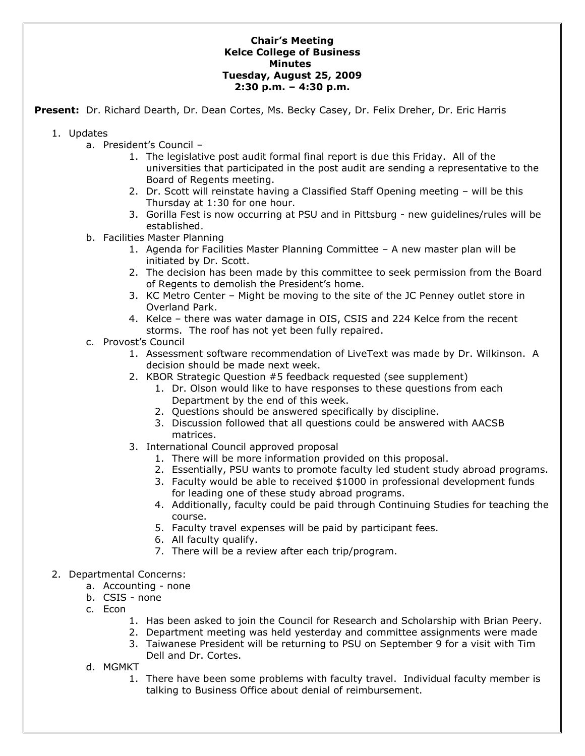## **Chair's Meeting Kelce College of Business Minutes Tuesday, August 25, 2009 2:30 p.m. – 4:30 p.m.**

**Present:** Dr. Richard Dearth, Dr. Dean Cortes, Ms. Becky Casey, Dr. Felix Dreher, Dr. Eric Harris

- 1. Updates
	- a. President's Council
		- 1. The legislative post audit formal final report is due this Friday. All of the universities that participated in the post audit are sending a representative to the Board of Regents meeting.
		- 2. Dr. Scott will reinstate having a Classified Staff Opening meeting will be this Thursday at 1:30 for one hour.
		- 3. Gorilla Fest is now occurring at PSU and in Pittsburg new guidelines/rules will be established.
	- b. Facilities Master Planning
		- 1. Agenda for Facilities Master Planning Committee A new master plan will be initiated by Dr. Scott.
		- 2. The decision has been made by this committee to seek permission from the Board of Regents to demolish the President's home.
		- 3. KC Metro Center Might be moving to the site of the JC Penney outlet store in Overland Park.
		- 4. Kelce there was water damage in OIS, CSIS and 224 Kelce from the recent storms. The roof has not yet been fully repaired.
	- c. Provost's Council
		- 1. Assessment software recommendation of LiveText was made by Dr. Wilkinson. A decision should be made next week.
		- 2. KBOR Strategic Question #5 feedback requested (see supplement)
			- 1. Dr. Olson would like to have responses to these questions from each Department by the end of this week.
			- 2. Questions should be answered specifically by discipline.
			- 3. Discussion followed that all questions could be answered with AACSB matrices.
		- 3. International Council approved proposal
			- 1. There will be more information provided on this proposal.
			- 2. Essentially, PSU wants to promote faculty led student study abroad programs.
			- 3. Faculty would be able to received \$1000 in professional development funds for leading one of these study abroad programs.
			- 4. Additionally, faculty could be paid through Continuing Studies for teaching the course.
			- 5. Faculty travel expenses will be paid by participant fees.
			- 6. All faculty qualify.
			- 7. There will be a review after each trip/program.
- 2. Departmental Concerns:
	- a. Accounting none
	- b. CSIS none
	- c. Econ
		- 1. Has been asked to join the Council for Research and Scholarship with Brian Peery.
		- 2. Department meeting was held yesterday and committee assignments were made
		- 3. Taiwanese President will be returning to PSU on September 9 for a visit with Tim Dell and Dr. Cortes.
	- d. MGMKT
		- 1. There have been some problems with faculty travel. Individual faculty member is talking to Business Office about denial of reimbursement.